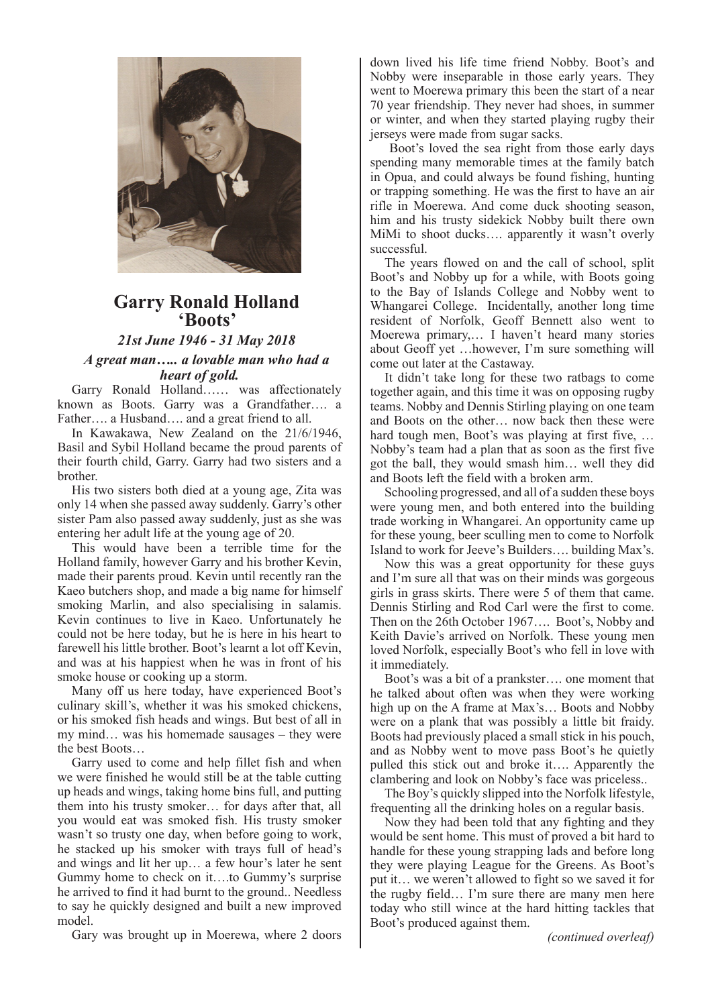

## **Garry Ronald Holland 'Boots'**

*21st June 1946 - 31 May 2018 A great man….. a lovable man who had a heart of gold.*

Garry Ronald Holland…… was affectionately known as Boots. Garry was a Grandfather…. a Father…. a Husband…. and a great friend to all.

In Kawakawa, New Zealand on the 21/6/1946, Basil and Sybil Holland became the proud parents of their fourth child, Garry. Garry had two sisters and a brother.

His two sisters both died at a young age, Zita was only 14 when she passed away suddenly. Garry's other sister Pam also passed away suddenly, just as she was entering her adult life at the young age of 20.

This would have been a terrible time for the Holland family, however Garry and his brother Kevin, made their parents proud. Kevin until recently ran the Kaeo butchers shop, and made a big name for himself smoking Marlin, and also specialising in salamis. Kevin continues to live in Kaeo. Unfortunately he could not be here today, but he is here in his heart to farewell his little brother. Boot's learnt a lot off Kevin, and was at his happiest when he was in front of his smoke house or cooking up a storm.

Many off us here today, have experienced Boot's culinary skill's, whether it was his smoked chickens, or his smoked fish heads and wings. But best of all in my mind… was his homemade sausages – they were the best Boots…

Garry used to come and help fillet fish and when we were finished he would still be at the table cutting up heads and wings, taking home bins full, and putting them into his trusty smoker… for days after that, all you would eat was smoked fish. His trusty smoker wasn't so trusty one day, when before going to work, he stacked up his smoker with trays full of head's and wings and lit her up… a few hour's later he sent Gummy home to check on it….to Gummy's surprise he arrived to find it had burnt to the ground.. Needless to say he quickly designed and built a new improved model.

Gary was brought up in Moerewa, where 2 doors

down lived his life time friend Nobby. Boot's and Nobby were inseparable in those early years. They went to Moerewa primary this been the start of a near 70 year friendship. They never had shoes, in summer or winter, and when they started playing rugby their jerseys were made from sugar sacks.

 Boot's loved the sea right from those early days spending many memorable times at the family batch in Opua, and could always be found fishing, hunting or trapping something. He was the first to have an air rifle in Moerewa. And come duck shooting season, him and his trusty sidekick Nobby built there own MiMi to shoot ducks…. apparently it wasn't overly successful.

The years flowed on and the call of school, split Boot's and Nobby up for a while, with Boots going to the Bay of Islands College and Nobby went to Whangarei College. Incidentally, another long time resident of Norfolk, Geoff Bennett also went to Moerewa primary,… I haven't heard many stories about Geoff yet …however, I'm sure something will come out later at the Castaway.

It didn't take long for these two ratbags to come together again, and this time it was on opposing rugby teams. Nobby and Dennis Stirling playing on one team and Boots on the other… now back then these were hard tough men, Boot's was playing at first five, ... Nobby's team had a plan that as soon as the first five got the ball, they would smash him… well they did and Boots left the field with a broken arm.

Schooling progressed, and all of a sudden these boys were young men, and both entered into the building trade working in Whangarei. An opportunity came up for these young, beer sculling men to come to Norfolk Island to work for Jeeve's Builders…. building Max's.

Now this was a great opportunity for these guys and I'm sure all that was on their minds was gorgeous girls in grass skirts. There were 5 of them that came. Dennis Stirling and Rod Carl were the first to come. Then on the 26th October 1967…. Boot's, Nobby and Keith Davie's arrived on Norfolk. These young men loved Norfolk, especially Boot's who fell in love with it immediately.

Boot's was a bit of a prankster…. one moment that he talked about often was when they were working high up on the A frame at Max's… Boots and Nobby were on a plank that was possibly a little bit fraidy. Boots had previously placed a small stick in his pouch, and as Nobby went to move pass Boot's he quietly pulled this stick out and broke it…. Apparently the clambering and look on Nobby's face was priceless..

The Boy's quickly slipped into the Norfolk lifestyle, frequenting all the drinking holes on a regular basis.

Now they had been told that any fighting and they would be sent home. This must of proved a bit hard to handle for these young strapping lads and before long they were playing League for the Greens. As Boot's put it… we weren't allowed to fight so we saved it for the rugby field… I'm sure there are many men here today who still wince at the hard hitting tackles that Boot's produced against them.